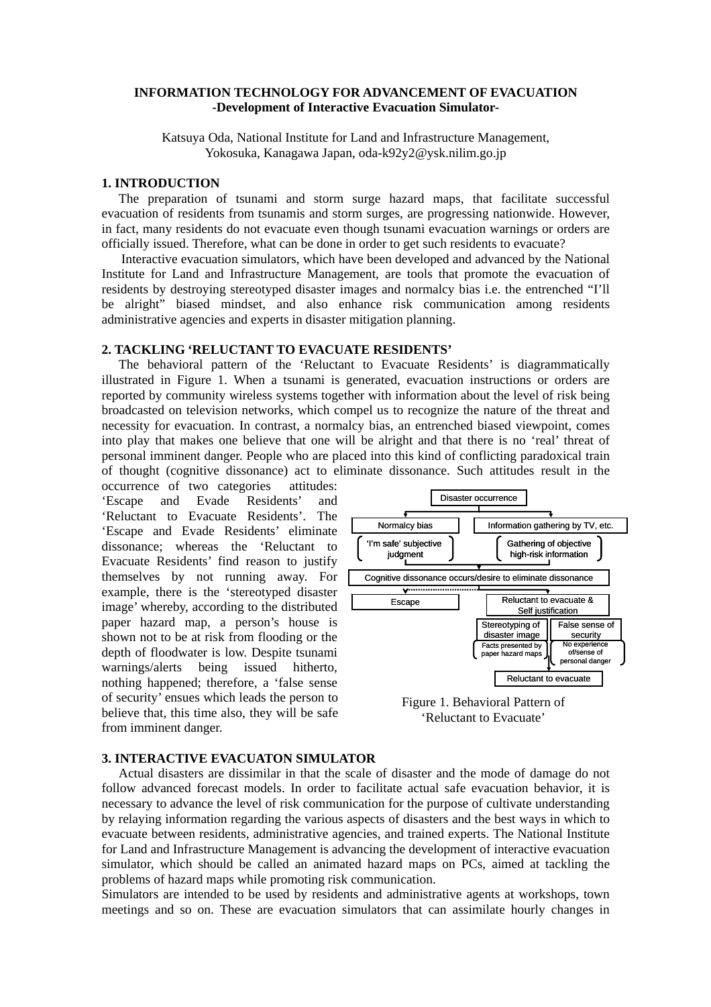# **INFORMATION TECHNOLOGY FOR ADVANCEMENT OF EVACUATION -Development of Interactive Evacuation Simulator-**

Katsuya Oda, National Institute for Land and Infrastructure Management, Yokosuka, Kanagawa Japan, oda-k92y2@ysk.nilim.go.jp

### **1. INTRODUCTION**

The preparation of tsunami and storm surge hazard maps, that facilitate successful evacuation of residents from tsunamis and storm surges, are progressing nationwide. However, in fact, many residents do not evacuate even though tsunami evacuation warnings or orders are officially issued. Therefore, what can be done in order to get such residents to evacuate?

Interactive evacuation simulators, which have been developed and advanced by the National Institute for Land and Infrastructure Management, are tools that promote the evacuation of residents by destroying stereotyped disaster images and normalcy bias i.e. the entrenched "I'll be alright" biased mindset, and also enhance risk communication among residents administrative agencies and experts in disaster mitigation planning.

## **2. TACKLING 'RELUCTANT TO EVACUATE RESIDENTS'**

The behavioral pattern of the 'Reluctant to Evacuate Residents' is diagrammatically illustrated in Figure 1. When a tsunami is generated, evacuation instructions or orders are reported by community wireless systems together with information about the level of risk being broadcasted on television networks, which compel us to recognize the nature of the threat and necessity for evacuation. In contrast, a normalcy bias, an entrenched biased viewpoint, comes into play that makes one believe that one will be alright and that there is no 'real' threat of personal imminent danger. People who are placed into this kind of conflicting paradoxical train of thought (cognitive dissonance) act to eliminate dissonance. Such attitudes result in the

occurrence of two categories attitudes: 'Escape and Evade Residents' and 'Reluctant to Evacuate Residents'. The 'Escape and Evade Residents' eliminate dissonance; whereas the 'Reluctant to Evacuate Residents' find reason to justify themselves by not running away. For example, there is the 'stereotyped disaster image' whereby, according to the distributed paper hazard map, a person's house is shown not to be at risk from flooding or the depth of floodwater is low. Despite tsunami warnings/alerts being issued hitherto, nothing happened; therefore, a 'false sense of security' ensues which leads the person to believe that, this time also, they will be safe from imminent danger.



Figure 1. Behavioral Pattern of 'Reluctant to Evacuate'

#### **3. INTERACTIVE EVACUATON SIMULATOR**

Actual disasters are dissimilar in that the scale of disaster and the mode of damage do not follow advanced forecast models. In order to facilitate actual safe evacuation behavior, it is necessary to advance the level of risk communication for the purpose of cultivate understanding by relaying information regarding the various aspects of disasters and the best ways in which to evacuate between residents, administrative agencies, and trained experts. The National Institute for Land and Infrastructure Management is advancing the development of interactive evacuation simulator, which should be called an animated hazard maps on PCs, aimed at tackling the problems of hazard maps while promoting risk communication.

Simulators are intended to be used by residents and administrative agents at workshops, town meetings and so on. These are evacuation simulators that can assimilate hourly changes in